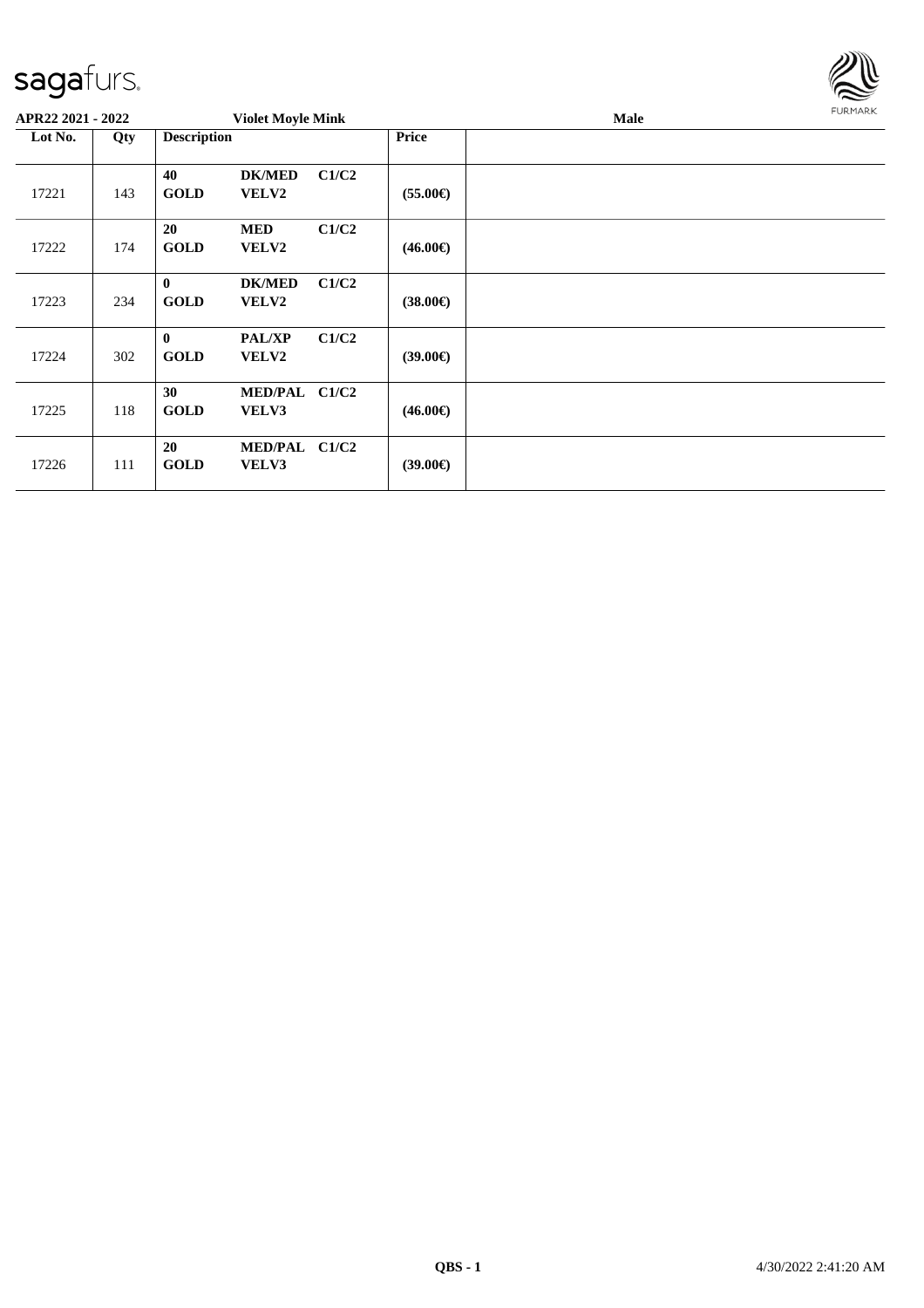

| APR22 2021 - 2022 |     | <b>Violet Moyle Mink</b>    |                               |       |                   | FURMARK |  |
|-------------------|-----|-----------------------------|-------------------------------|-------|-------------------|---------|--|
| Lot No.           | Qty | <b>Description</b>          |                               |       | <b>Price</b>      |         |  |
| 17221             | 143 | 40<br><b>GOLD</b>           | <b>DK/MED</b><br><b>VELV2</b> | C1/C2 | $(55.00\epsilon)$ |         |  |
| 17222             | 174 | <b>20</b><br><b>GOLD</b>    | <b>MED</b><br><b>VELV2</b>    | C1/C2 | $(46.00\epsilon)$ |         |  |
| 17223             | 234 | $\mathbf{0}$<br><b>GOLD</b> | <b>DK/MED</b><br><b>VELV2</b> | C1/C2 | $(38.00\epsilon)$ |         |  |
| 17224             | 302 | $\mathbf{0}$<br><b>GOLD</b> | <b>PAL/XP</b><br><b>VELV2</b> | C1/C2 | $(39.00\epsilon)$ |         |  |
| 17225             | 118 | 30<br><b>GOLD</b>           | MED/PAL C1/C2<br>VELV3        |       | $(46.00\epsilon)$ |         |  |
| 17226             | 111 | 20<br><b>GOLD</b>           | MED/PAL C1/C2<br>VELV3        |       | $(39.00\epsilon)$ |         |  |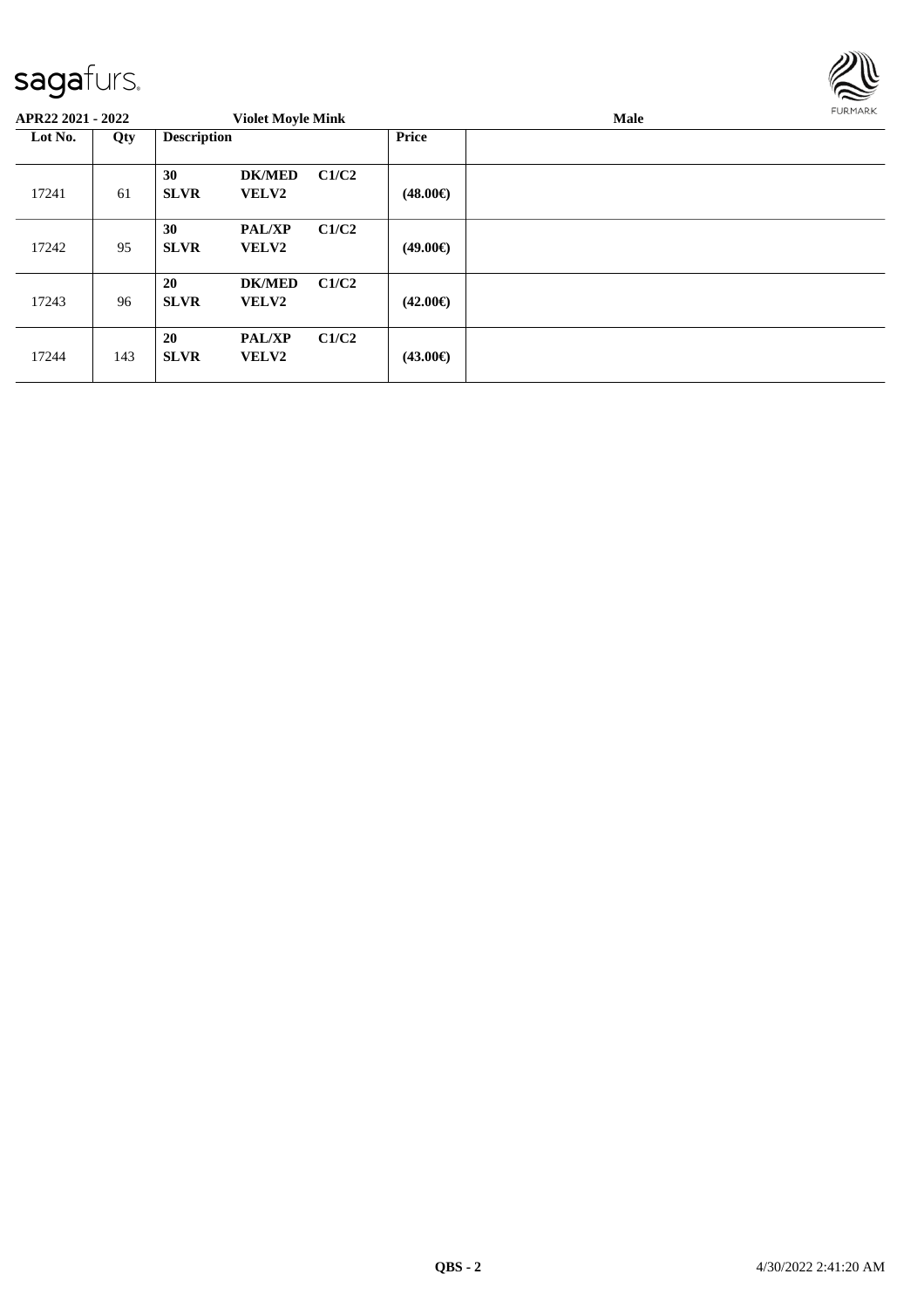

| APR22 2021 - 2022 |     | <b>Violet Moyle Mink</b> |                               |       |                   | <b>Male</b> | <b>FURMARK</b> |
|-------------------|-----|--------------------------|-------------------------------|-------|-------------------|-------------|----------------|
| Lot No.           | Qty | <b>Description</b>       |                               |       | Price             |             |                |
| 17241             | 61  | 30<br><b>SLVR</b>        | <b>DK/MED</b><br><b>VELV2</b> | C1/C2 | $(48.00\epsilon)$ |             |                |
| 17242             | 95  | 30<br><b>SLVR</b>        | <b>PAL/XP</b><br>VELV2        | C1/C2 | $(49.00\epsilon)$ |             |                |
| 17243             | 96  | 20<br><b>SLVR</b>        | <b>DK/MED</b><br>VELV2        | C1/C2 | $(42.00\epsilon)$ |             |                |
| 17244             | 143 | 20<br><b>SLVR</b>        | <b>PAL/XP</b><br>VELV2        | C1/C2 | $(43.00\epsilon)$ |             |                |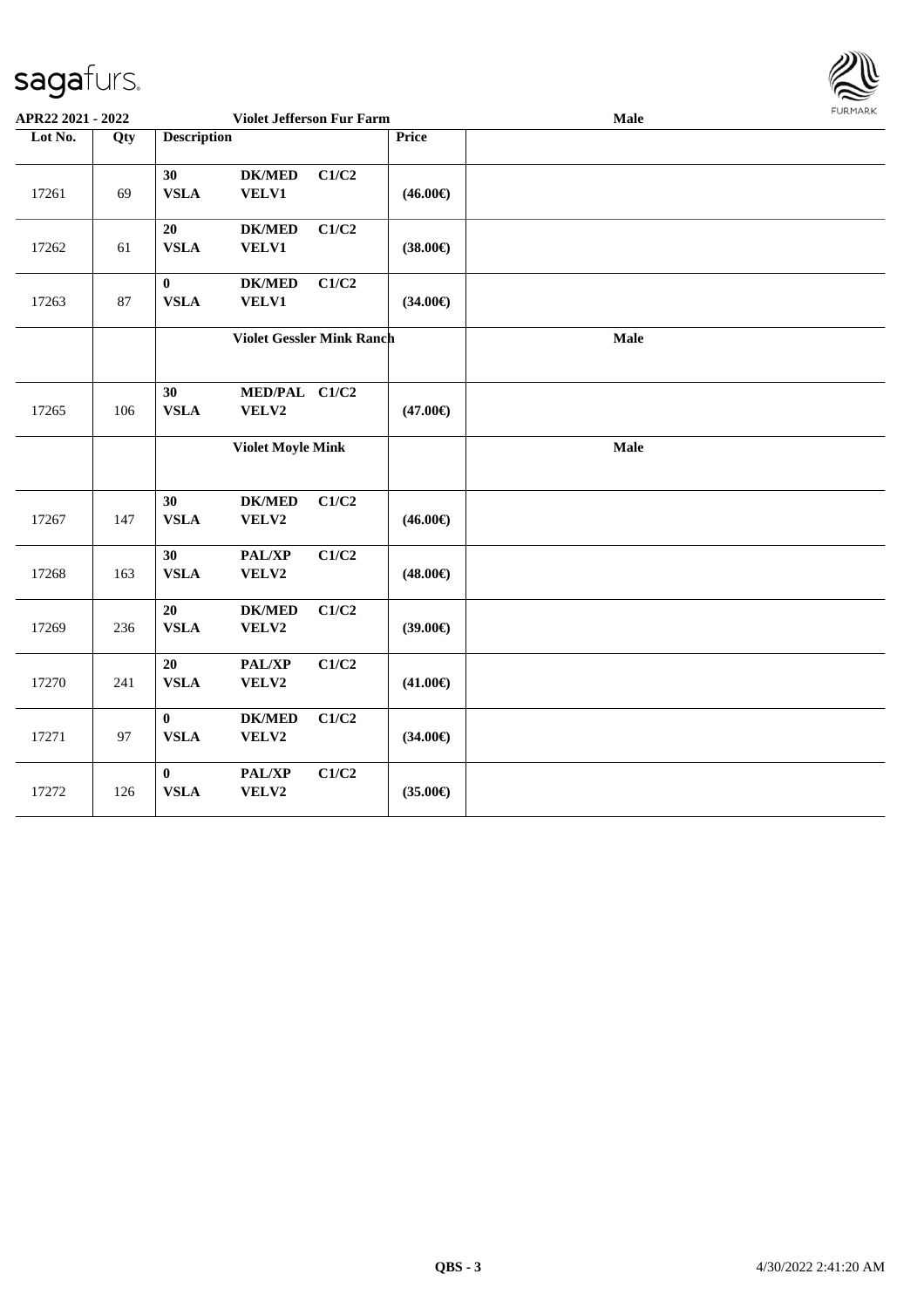

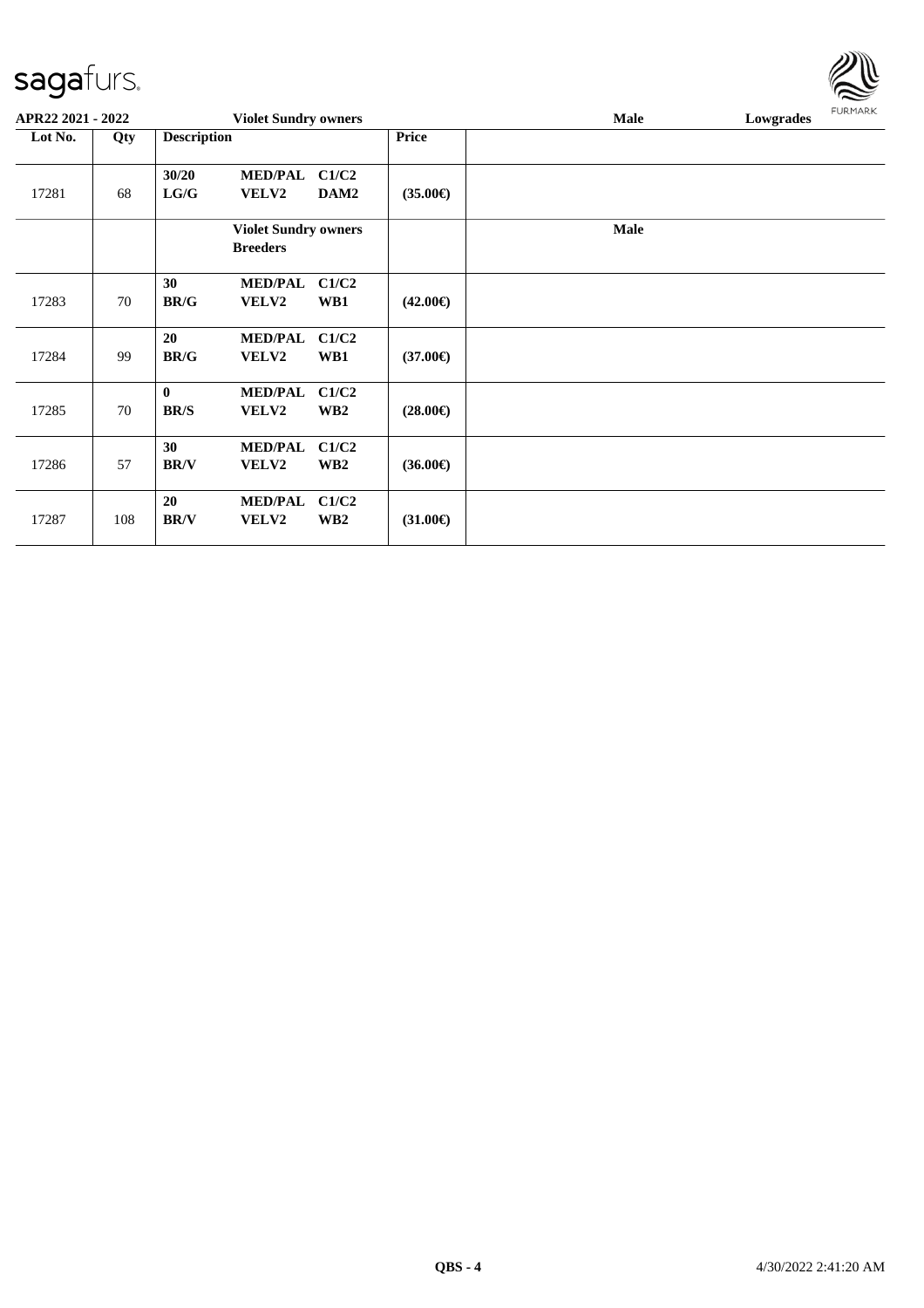| APR22 2021 - 2022 |     |                                   | <b>Violet Sundry owners</b>                    |                          |                   | <b>Male</b> | Lowgrades | <b>FURMARK</b> |
|-------------------|-----|-----------------------------------|------------------------------------------------|--------------------------|-------------------|-------------|-----------|----------------|
| Lot No.           | Qty | <b>Description</b>                |                                                |                          | Price             |             |           |                |
| 17281             | 68  | 30/20<br>$\mathbf{LG}/\mathbf{G}$ | <b>MED/PAL</b><br><b>VELV2</b>                 | C1/C2<br>DAM2            | $(35.00\epsilon)$ |             |           |                |
|                   |     |                                   | <b>Violet Sundry owners</b><br><b>Breeders</b> |                          |                   | <b>Male</b> |           |                |
| 17283             | 70  | 30<br><b>BR/G</b>                 | <b>MED/PAL</b><br>VELV2                        | C1/C2<br>WB1             | $(42.00\epsilon)$ |             |           |                |
| 17284             | 99  | 20<br><b>BR/G</b>                 | <b>MED/PAL</b><br><b>VELV2</b>                 | C1/C2<br>WB1             | $(37.00\epsilon)$ |             |           |                |
| 17285             | 70  | $\mathbf{0}$<br><b>BR/S</b>       | <b>MED/PAL</b><br><b>VELV2</b>                 | C1/C2<br>WB <sub>2</sub> | $(28.00\epsilon)$ |             |           |                |
| 17286             | 57  | 30<br><b>BR/V</b>                 | <b>MED/PAL</b><br>VELV2                        | C1/C2<br>WB <sub>2</sub> | $(36.00\epsilon)$ |             |           |                |
| 17287             | 108 | 20<br><b>BR/V</b>                 | <b>MED/PAL</b><br>VELV2                        | C1/C2<br>WB <sub>2</sub> | $(31.00\epsilon)$ |             |           |                |

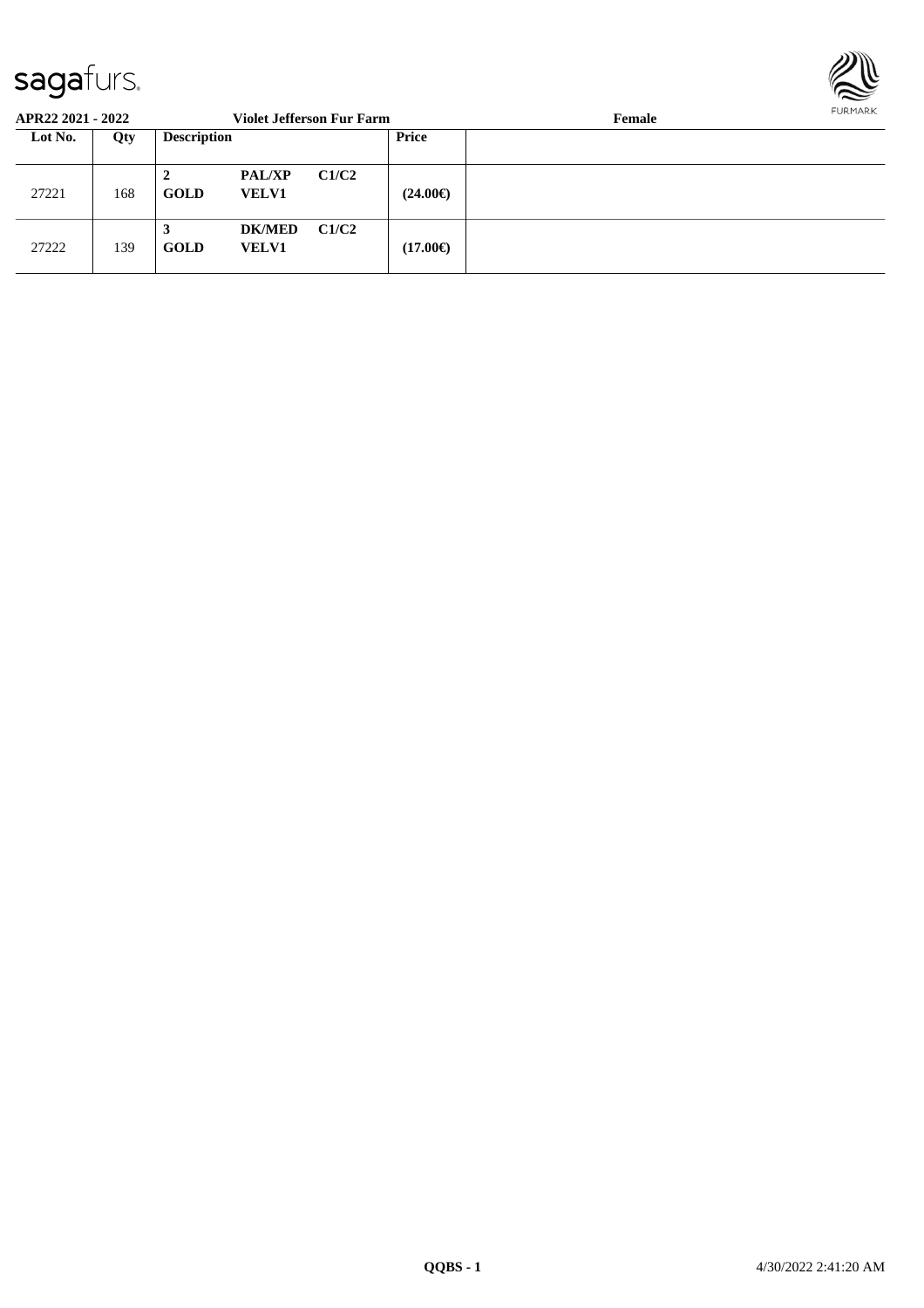

| APR22 2021 - 2022 |     |                    |                               | <b>Violet Jefferson Fur Farm</b> |                   | Female | FURMARR |
|-------------------|-----|--------------------|-------------------------------|----------------------------------|-------------------|--------|---------|
| Lot No.           | Qty | <b>Description</b> |                               |                                  | Price             |        |         |
| 27221             | 168 | 2<br><b>GOLD</b>   | <b>PAL/XP</b><br><b>VELV1</b> | C1/C2                            | $(24.00\epsilon)$ |        |         |
| 27222             | 139 | 3<br><b>GOLD</b>   | <b>DK/MED</b><br><b>VELV1</b> | C1/C2                            | $(17.00\epsilon)$ |        |         |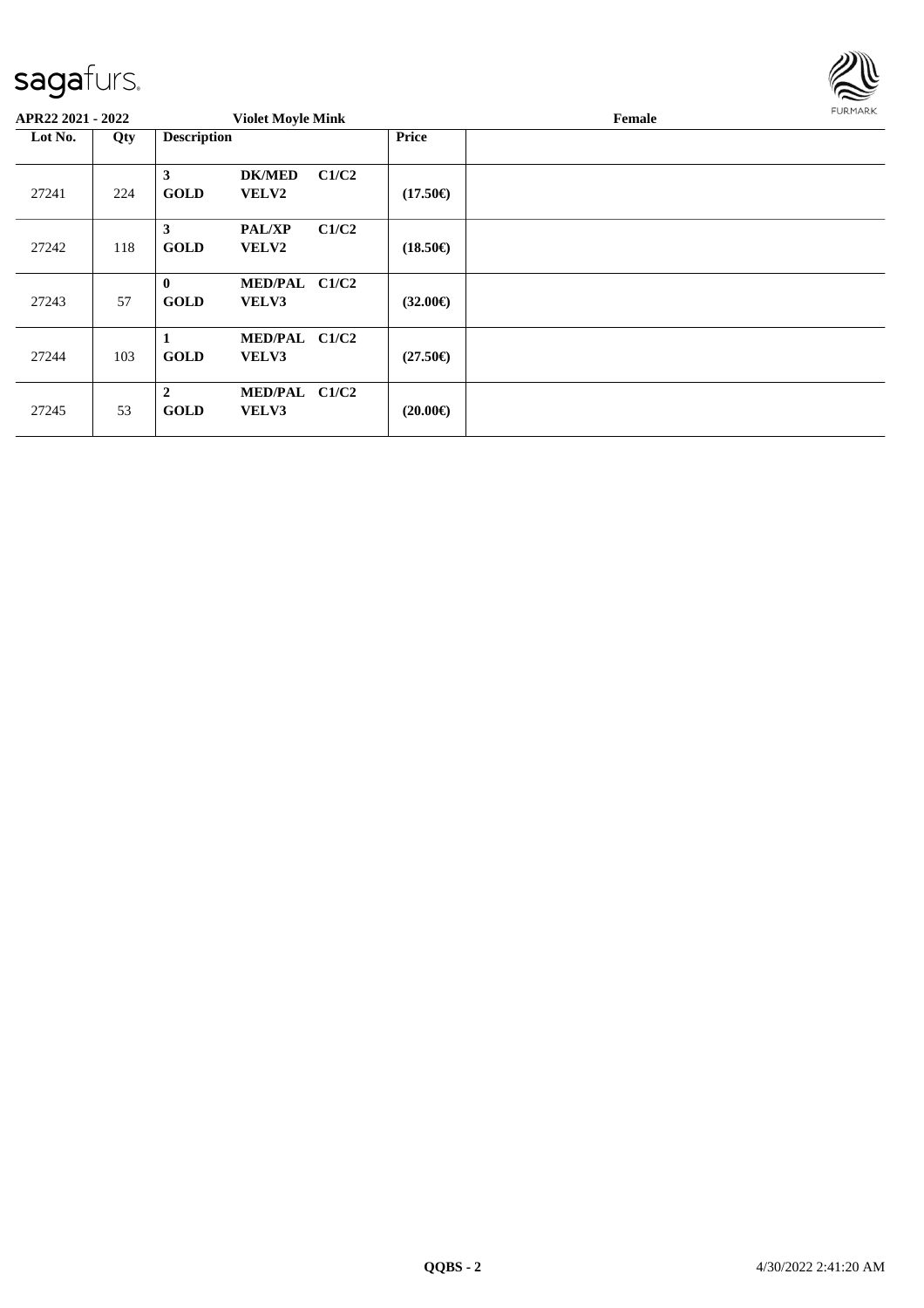

| APR22 2021 - 2022 |     |                               | <b>Violet Moyle Mink</b>      |       |                   | <b>FURMARK</b><br>Female |  |
|-------------------|-----|-------------------------------|-------------------------------|-------|-------------------|--------------------------|--|
| Lot No.           | Qty | <b>Description</b>            |                               |       | <b>Price</b>      |                          |  |
| 27241             | 224 | 3<br><b>GOLD</b>              | <b>DK/MED</b><br><b>VELV2</b> | C1/C2 | $(17.50\epsilon)$ |                          |  |
| 27242             | 118 | 3<br><b>GOLD</b>              | PAL/XP<br>VELV2               | C1/C2 | $(18.50\epsilon)$ |                          |  |
| 27243             | 57  | $\mathbf{0}$<br><b>GOLD</b>   | MED/PAL C1/C2<br>VELV3        |       | $(32.00\epsilon)$ |                          |  |
| 27244             | 103 | 1<br><b>GOLD</b>              | MED/PAL C1/C2<br>VELV3        |       | $(27.50\epsilon)$ |                          |  |
| 27245             | 53  | $\overline{2}$<br><b>GOLD</b> | MED/PAL C1/C2<br>VELV3        |       | $(20.00\epsilon)$ |                          |  |